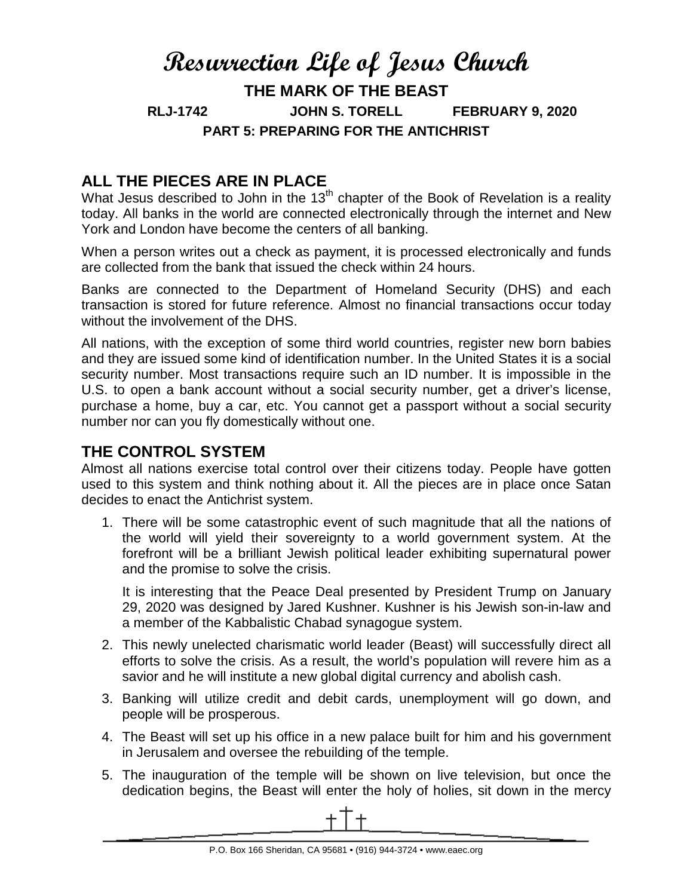# **Resurrection Life of Jesus Church THE MARK OF THE BEAST RLJ-1742 JOHN S. TORELL FEBRUARY 9, 2020 PART 5: PREPARING FOR THE ANTICHRIST**

## **ALL THE PIECES ARE IN PLACE**

What Jesus described to John in the  $13<sup>th</sup>$  chapter of the Book of Revelation is a reality today. All banks in the world are connected electronically through the internet and New York and London have become the centers of all banking.

When a person writes out a check as payment, it is processed electronically and funds are collected from the bank that issued the check within 24 hours.

Banks are connected to the Department of Homeland Security (DHS) and each transaction is stored for future reference. Almost no financial transactions occur today without the involvement of the DHS.

All nations, with the exception of some third world countries, register new born babies and they are issued some kind of identification number. In the United States it is a social security number. Most transactions require such an ID number. It is impossible in the U.S. to open a bank account without a social security number, get a driver's license, purchase a home, buy a car, etc. You cannot get a passport without a social security number nor can you fly domestically without one.

### **THE CONTROL SYSTEM**

Almost all nations exercise total control over their citizens today. People have gotten used to this system and think nothing about it. All the pieces are in place once Satan decides to enact the Antichrist system.

1. There will be some catastrophic event of such magnitude that all the nations of the world will yield their sovereignty to a world government system. At the forefront will be a brilliant Jewish political leader exhibiting supernatural power and the promise to solve the crisis.

It is interesting that the Peace Deal presented by President Trump on January 29, 2020 was designed by Jared Kushner. Kushner is his Jewish son-in-law and a member of the Kabbalistic Chabad synagogue system.

- 2. This newly unelected charismatic world leader (Beast) will successfully direct all efforts to solve the crisis. As a result, the world's population will revere him as a savior and he will institute a new global digital currency and abolish cash.
- 3. Banking will utilize credit and debit cards, unemployment will go down, and people will be prosperous.
- 4. The Beast will set up his office in a new palace built for him and his government in Jerusalem and oversee the rebuilding of the temple.
- 5. The inauguration of the temple will be shown on live television, but once the dedication begins, the Beast will enter the holy of holies, sit down in the mercy

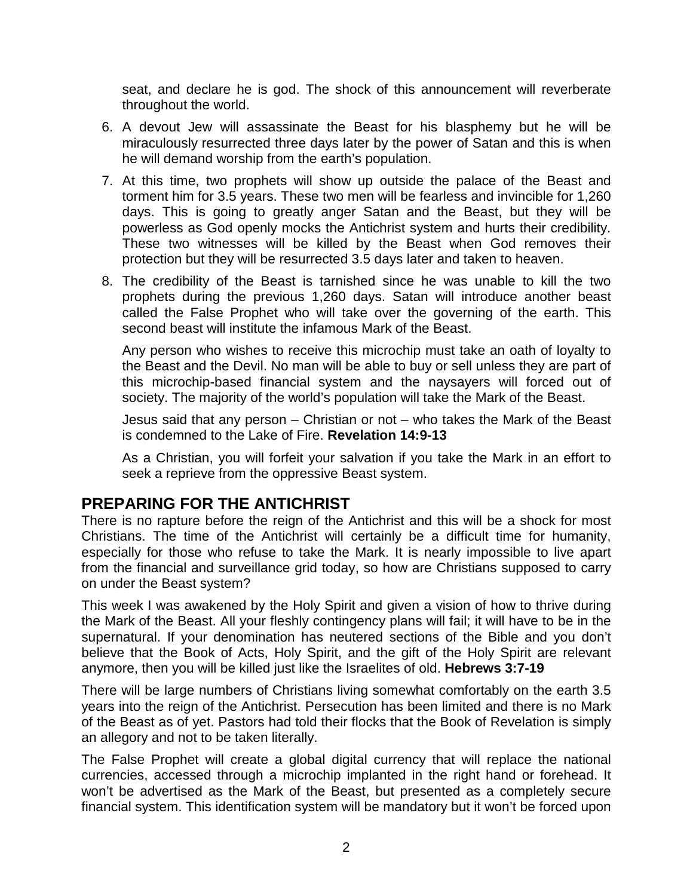seat, and declare he is god. The shock of this announcement will reverberate throughout the world.

- 6. A devout Jew will assassinate the Beast for his blasphemy but he will be miraculously resurrected three days later by the power of Satan and this is when he will demand worship from the earth's population.
- 7. At this time, two prophets will show up outside the palace of the Beast and torment him for 3.5 years. These two men will be fearless and invincible for 1,260 days. This is going to greatly anger Satan and the Beast, but they will be powerless as God openly mocks the Antichrist system and hurts their credibility. These two witnesses will be killed by the Beast when God removes their protection but they will be resurrected 3.5 days later and taken to heaven.
- 8. The credibility of the Beast is tarnished since he was unable to kill the two prophets during the previous 1,260 days. Satan will introduce another beast called the False Prophet who will take over the governing of the earth. This second beast will institute the infamous Mark of the Beast.

Any person who wishes to receive this microchip must take an oath of loyalty to the Beast and the Devil. No man will be able to buy or sell unless they are part of this microchip-based financial system and the naysayers will forced out of society. The majority of the world's population will take the Mark of the Beast.

Jesus said that any person – Christian or not – who takes the Mark of the Beast is condemned to the Lake of Fire. **Revelation 14:9-13**

As a Christian, you will forfeit your salvation if you take the Mark in an effort to seek a reprieve from the oppressive Beast system.

#### **PREPARING FOR THE ANTICHRIST**

There is no rapture before the reign of the Antichrist and this will be a shock for most Christians. The time of the Antichrist will certainly be a difficult time for humanity, especially for those who refuse to take the Mark. It is nearly impossible to live apart from the financial and surveillance grid today, so how are Christians supposed to carry on under the Beast system?

This week I was awakened by the Holy Spirit and given a vision of how to thrive during the Mark of the Beast. All your fleshly contingency plans will fail; it will have to be in the supernatural. If your denomination has neutered sections of the Bible and you don't believe that the Book of Acts, Holy Spirit, and the gift of the Holy Spirit are relevant anymore, then you will be killed just like the Israelites of old. **Hebrews 3:7-19**

There will be large numbers of Christians living somewhat comfortably on the earth 3.5 years into the reign of the Antichrist. Persecution has been limited and there is no Mark of the Beast as of yet. Pastors had told their flocks that the Book of Revelation is simply an allegory and not to be taken literally.

The False Prophet will create a global digital currency that will replace the national currencies, accessed through a microchip implanted in the right hand or forehead. It won't be advertised as the Mark of the Beast, but presented as a completely secure financial system. This identification system will be mandatory but it won't be forced upon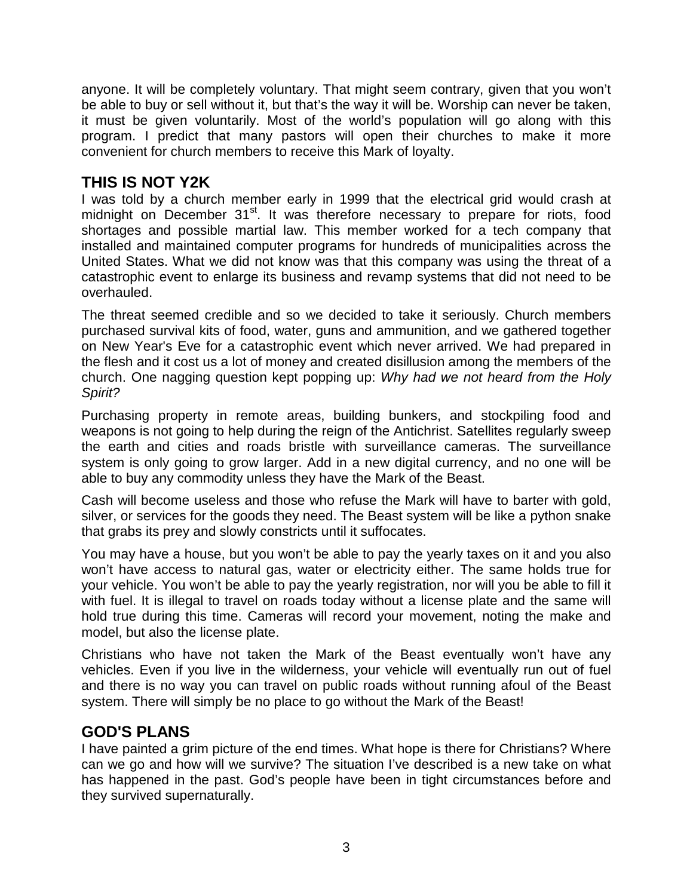anyone. It will be completely voluntary. That might seem contrary, given that you won't be able to buy or sell without it, but that's the way it will be. Worship can never be taken, it must be given voluntarily. Most of the world's population will go along with this program. I predict that many pastors will open their churches to make it more convenient for church members to receive this Mark of loyalty.

## **THIS IS NOT Y2K**

I was told by a church member early in 1999 that the electrical grid would crash at midnight on December 31<sup>st</sup>. It was therefore necessary to prepare for riots, food shortages and possible martial law. This member worked for a tech company that installed and maintained computer programs for hundreds of municipalities across the United States. What we did not know was that this company was using the threat of a catastrophic event to enlarge its business and revamp systems that did not need to be overhauled.

The threat seemed credible and so we decided to take it seriously. Church members purchased survival kits of food, water, guns and ammunition, and we gathered together on New Year's Eve for a catastrophic event which never arrived. We had prepared in the flesh and it cost us a lot of money and created disillusion among the members of the church. One nagging question kept popping up: *Why had we not heard from the Holy Spirit?* 

Purchasing property in remote areas, building bunkers, and stockpiling food and weapons is not going to help during the reign of the Antichrist. Satellites regularly sweep the earth and cities and roads bristle with surveillance cameras. The surveillance system is only going to grow larger. Add in a new digital currency, and no one will be able to buy any commodity unless they have the Mark of the Beast.

Cash will become useless and those who refuse the Mark will have to barter with gold, silver, or services for the goods they need. The Beast system will be like a python snake that grabs its prey and slowly constricts until it suffocates.

You may have a house, but you won't be able to pay the yearly taxes on it and you also won't have access to natural gas, water or electricity either. The same holds true for your vehicle. You won't be able to pay the yearly registration, nor will you be able to fill it with fuel. It is illegal to travel on roads today without a license plate and the same will hold true during this time. Cameras will record your movement, noting the make and model, but also the license plate.

Christians who have not taken the Mark of the Beast eventually won't have any vehicles. Even if you live in the wilderness, your vehicle will eventually run out of fuel and there is no way you can travel on public roads without running afoul of the Beast system. There will simply be no place to go without the Mark of the Beast!

#### **GOD'S PLANS**

I have painted a grim picture of the end times. What hope is there for Christians? Where can we go and how will we survive? The situation I've described is a new take on what has happened in the past. God's people have been in tight circumstances before and they survived supernaturally.